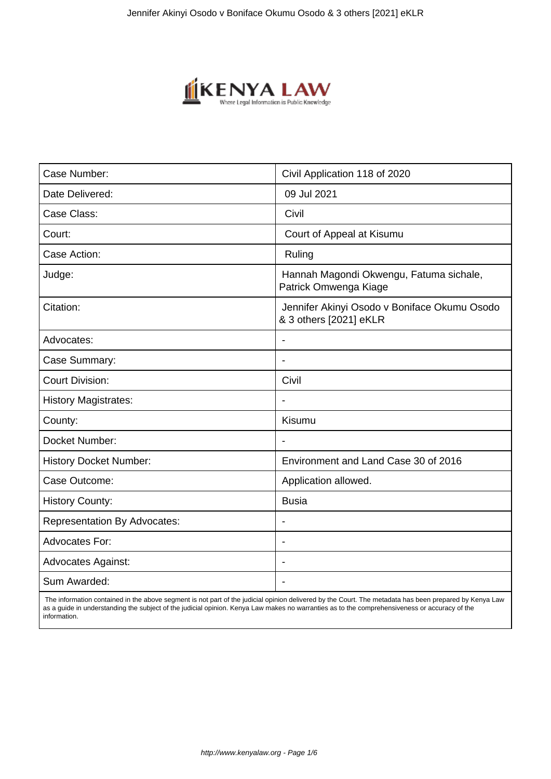

| Case Number:                        | Civil Application 118 of 2020                                          |
|-------------------------------------|------------------------------------------------------------------------|
| Date Delivered:                     | 09 Jul 2021                                                            |
| Case Class:                         | Civil                                                                  |
| Court:                              | Court of Appeal at Kisumu                                              |
| Case Action:                        | Ruling                                                                 |
| Judge:                              | Hannah Magondi Okwengu, Fatuma sichale,<br>Patrick Omwenga Kiage       |
| Citation:                           | Jennifer Akinyi Osodo v Boniface Okumu Osodo<br>& 3 others [2021] eKLR |
| Advocates:                          |                                                                        |
| Case Summary:                       | $\overline{\phantom{a}}$                                               |
| <b>Court Division:</b>              | Civil                                                                  |
| <b>History Magistrates:</b>         | $\blacksquare$                                                         |
| County:                             | Kisumu                                                                 |
| Docket Number:                      | $\blacksquare$                                                         |
| <b>History Docket Number:</b>       | Environment and Land Case 30 of 2016                                   |
| Case Outcome:                       | Application allowed.                                                   |
| <b>History County:</b>              | <b>Busia</b>                                                           |
| <b>Representation By Advocates:</b> | $\overline{\phantom{a}}$                                               |
| <b>Advocates For:</b>               | $\overline{\phantom{a}}$                                               |
| <b>Advocates Against:</b>           |                                                                        |
| Sum Awarded:                        | $\overline{\phantom{0}}$                                               |

 The information contained in the above segment is not part of the judicial opinion delivered by the Court. The metadata has been prepared by Kenya Law as a guide in understanding the subject of the judicial opinion. Kenya Law makes no warranties as to the comprehensiveness or accuracy of the information.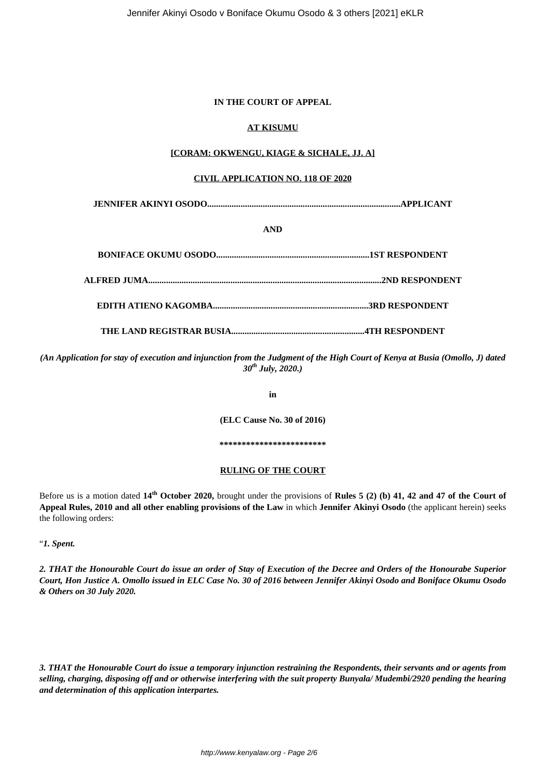## **IN THE COURT OF APPEAL**

## **AT KISUMU**

## **[CORAM: OKWENGU, KIAGE & SICHALE, JJ. A]**

## **CIVIL APPLICATION NO. 118 OF 2020**

**JENNIFER AKINYI OSODO.......................................................................................APPLICANT**

**AND**

*(An Application for stay of execution and injunction from the Judgment of the High Court of Kenya at Busia (Omollo, J) dated 30th July, 2020.)*

**in**

**(ELC Cause No. 30 of 2016)**

**\*\*\*\*\*\*\*\*\*\*\*\*\*\*\*\*\*\*\*\*\*\*\*\***

## **RULING OF THE COURT**

Before us is a motion dated **14th October 2020,** brought under the provisions of **Rules 5 (2) (b) 41, 42 and 47 of the Court of Appeal Rules, 2010 and all other enabling provisions of the Law** in which **Jennifer Akinyi Osodo** (the applicant herein) seeks the following orders:

"*1. Spent.*

*2. THAT the Honourable Court do issue an order of Stay of Execution of the Decree and Orders of the Honourabe Superior Court, Hon Justice A. Omollo issued in ELC Case No. 30 of 2016 between Jennifer Akinyi Osodo and Boniface Okumu Osodo & Others on 30 July 2020.*

*3. THAT the Honourable Court do issue a temporary injunction restraining the Respondents, their servants and or agents from selling, charging, disposing off and or otherwise interfering with the suit property Bunyala/ Mudembi/2920 pending the hearing and determination of this application interpartes.*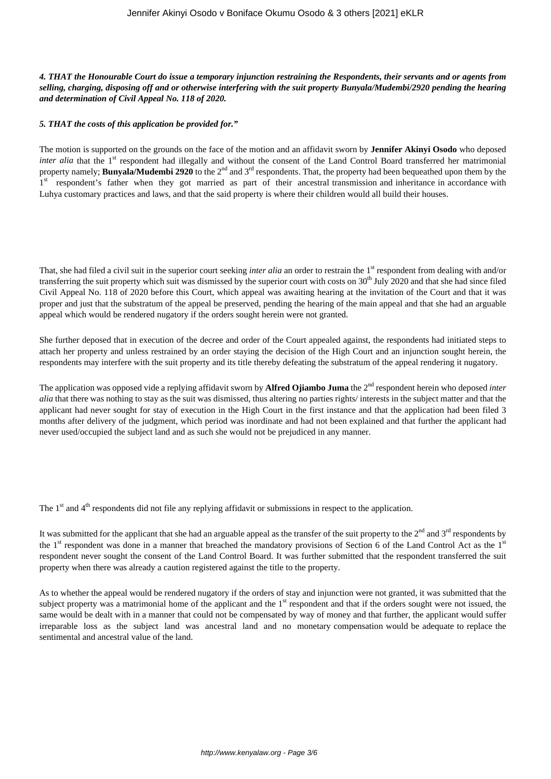*4. THAT the Honourable Court do issue a temporary injunction restraining the Respondents, their servants and or agents from selling, charging, disposing off and or otherwise interfering with the suit property Bunyala/Mudembi/2920 pending the hearing and determination of Civil Appeal No. 118 of 2020.*

#### *5. THAT the costs of this application be provided for."*

The motion is supported on the grounds on the face of the motion and an affidavit sworn by **Jennifer Akinyi Osodo** who deposed *inter alia* that the 1<sup>st</sup> respondent had illegally and without the consent of the Land Control Board transferred her matrimonial property namely; **Bunyala/Mudembi 2920** to the 2<sup>nd</sup> and 3<sup>rd</sup> respondents. That, the property had been bequeathed upon them by the 1<sup>st</sup> respondent's father when they got married as part of their ancestral transmission and inheritance in accordance with Luhya customary practices and laws, and that the said property is where their children would all build their houses.

That, she had filed a civil suit in the superior court seeking *inter alia* an order to restrain the 1<sup>st</sup> respondent from dealing with and/or transferring the suit property which suit was dismissed by the superior court with costs on 30<sup>th</sup> July 2020 and that she had since filed Civil Appeal No. 118 of 2020 before this Court, which appeal was awaiting hearing at the invitation of the Court and that it was proper and just that the substratum of the appeal be preserved, pending the hearing of the main appeal and that she had an arguable appeal which would be rendered nugatory if the orders sought herein were not granted.

She further deposed that in execution of the decree and order of the Court appealed against, the respondents had initiated steps to attach her property and unless restrained by an order staying the decision of the High Court and an injunction sought herein, the respondents may interfere with the suit property and its title thereby defeating the substratum of the appeal rendering it nugatory.

The application was opposed vide a replying affidavit sworn by **Alfred Ojiambo Juma** the 2<sup>nd</sup> respondent herein who deposed *inter alia* that there was nothing to stay as the suit was dismissed, thus altering no parties rights/ interests in the subject matter and that the applicant had never sought for stay of execution in the High Court in the first instance and that the application had been filed 3 months after delivery of the judgment, which period was inordinate and had not been explained and that further the applicant had never used/occupied the subject land and as such she would not be prejudiced in any manner.

The 1<sup>st</sup> and 4<sup>th</sup> respondents did not file any replying affidavit or submissions in respect to the application.

It was submitted for the applicant that she had an arguable appeal as the transfer of the suit property to the  $2<sup>nd</sup>$  and  $3<sup>rd</sup>$  respondents by the 1<sup>st</sup> respondent was done in a manner that breached the mandatory provisions of Section 6 of the Land Control Act as the 1<sup>st</sup> respondent never sought the consent of the Land Control Board. It was further submitted that the respondent transferred the suit property when there was already a caution registered against the title to the property.

As to whether the appeal would be rendered nugatory if the orders of stay and injunction were not granted, it was submitted that the subject property was a matrimonial home of the applicant and the  $1<sup>st</sup>$  respondent and that if the orders sought were not issued, the same would be dealt with in a manner that could not be compensated by way of money and that further, the applicant would suffer irreparable loss as the subject land was ancestral land and no monetary compensation would be adequate to replace the sentimental and ancestral value of the land.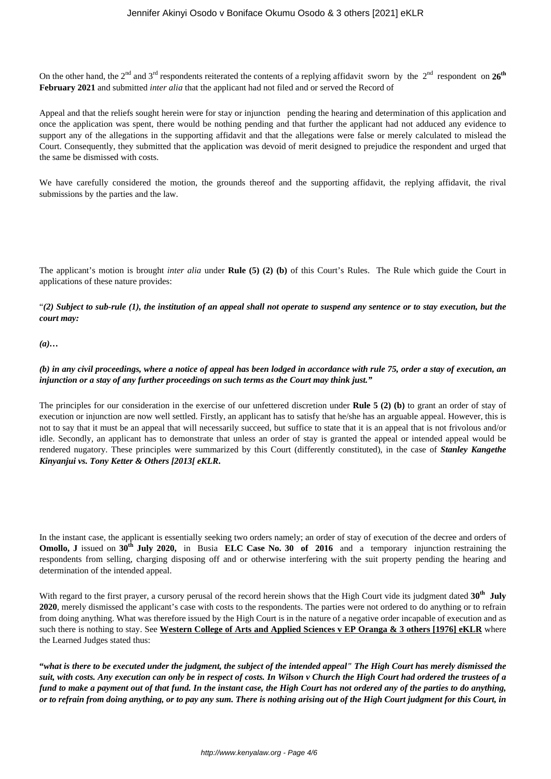On the other hand, the  $2^{nd}$  and  $3^{rd}$  respondents reiterated the contents of a replying affidavit sworn by the  $2^{nd}$  respondent on  $26^{th}$ **February 2021** and submitted *inter alia* that the applicant had not filed and or served the Record of

Appeal and that the reliefs sought herein were for stay or injunction pending the hearing and determination of this application and once the application was spent, there would be nothing pending and that further the applicant had not adduced any evidence to support any of the allegations in the supporting affidavit and that the allegations were false or merely calculated to mislead the Court. Consequently, they submitted that the application was devoid of merit designed to prejudice the respondent and urged that the same be dismissed with costs.

We have carefully considered the motion, the grounds thereof and the supporting affidavit, the replying affidavit, the rival submissions by the parties and the law.

The applicant's motion is brought *inter alia* under **Rule (5) (2) (b)** of this Court's Rules. The Rule which guide the Court in applications of these nature provides:

## "*(2) Subject to sub-rule (1), the institution of an appeal shall not operate to suspend any sentence or to stay execution, but the court may:*

*(a)…*

## *(b) in any civil proceedings, where a notice of appeal has been lodged in accordance with rule 75, order a stay of execution, an injunction or a stay of any further proceedings on such terms as the Court may think just."*

The principles for our consideration in the exercise of our unfettered discretion under **Rule 5 (2) (b)** to grant an order of stay of execution or injunction are now well settled. Firstly, an applicant has to satisfy that he/she has an arguable appeal. However, this is not to say that it must be an appeal that will necessarily succeed, but suffice to state that it is an appeal that is not frivolous and/or idle. Secondly, an applicant has to demonstrate that unless an order of stay is granted the appeal or intended appeal would be rendered nugatory. These principles were summarized by this Court (differently constituted), in the case of *Stanley Kangethe Kinyanjui vs. Tony Ketter & Others [2013[ eKLR***.**

In the instant case, the applicant is essentially seeking two orders namely; an order of stay of execution of the decree and orders of **Omollo, J** issued on **30th July 2020,** in Busia **ELC Case No. 30 of 2016** and a temporary injunction restraining the respondents from selling, charging disposing off and or otherwise interfering with the suit property pending the hearing and determination of the intended appeal.

With regard to the first prayer, a cursory perusal of the record herein shows that the High Court vide its judgment dated 30<sup>th</sup> July **2020**, merely dismissed the applicant's case with costs to the respondents. The parties were not ordered to do anything or to refrain from doing anything. What was therefore issued by the High Court is in the nature of a negative order incapable of execution and as such there is nothing to stay. See **Western College of Arts and Applied Sciences v EP Oranga & 3 others [1976] eKLR** where the Learned Judges stated thus:

**"***what is there to be executed under the judgment, the subject of the intended appeal" The High Court has merely dismissed the suit, with costs. Any execution can only be in respect of costs. In Wilson v Church the High Court had ordered the trustees of a fund to make a payment out of that fund. In the instant case, the High Court has not ordered any of the parties to do anything, or to refrain from doing anything, or to pay any sum. There is nothing arising out of the High Court judgment for this Court, in*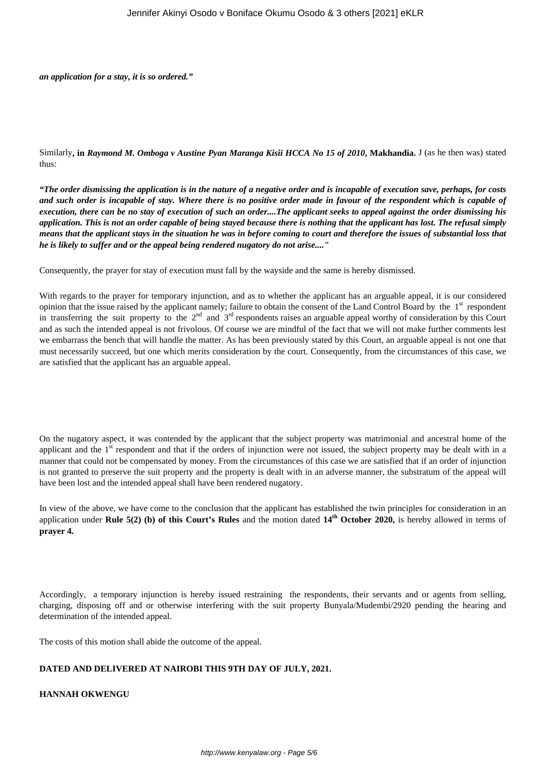*an application for a stay, it is so ordered."*

Similarly**, in** *Raymond M. Omboga v Austine Pyan Maranga Kisii HCCA No 15 of 2010***, Makhandia**, J (as he then was) stated thus:

*"The order dismissing the application is in the nature of a negative order and is incapable of execution save, perhaps, for costs and such order is incapable of stay. Where there is no positive order made in favour of the respondent which is capable of execution, there can be no stay of execution of such an order....The applicant seeks to appeal against the order dismissing his application. This is not an order capable of being stayed because there is nothing that the applicant has lost. The refusal simply means that the applicant stays in the situation he was in before coming to court and therefore the issues of substantial loss that he is likely to suffer and or the appeal being rendered nugatory do not arise...."*

Consequently, the prayer for stay of execution must fall by the wayside and the same is hereby dismissed.

With regards to the prayer for temporary injunction, and as to whether the applicant has an arguable appeal, it is our considered opinion that the issue raised by the applicant namely; failure to obtain the consent of the Land Control Board by the 1<sup>st</sup> respondent in transferring the suit property to the  $2<sup>nd</sup>$  and  $3<sup>rd</sup>$  respondents raises an arguable appeal worthy of consideration by this Court and as such the intended appeal is not frivolous. Of course we are mindful of the fact that we will not make further comments lest we embarrass the bench that will handle the matter. As has been previously stated by this Court, an arguable appeal is not one that must necessarily succeed, but one which merits consideration by the court. Consequently, from the circumstances of this case, we are satisfied that the applicant has an arguable appeal.

On the nugatory aspect, it was contended by the applicant that the subject property was matrimonial and ancestral home of the applicant and the 1<sup>st</sup> respondent and that if the orders of injunction were not issued, the subject property may be dealt with in a manner that could not be compensated by money. From the circumstances of this case we are satisfied that if an order of injunction is not granted to preserve the suit property and the property is dealt with in an adverse manner, the substratum of the appeal will have been lost and the intended appeal shall have been rendered nugatory.

In view of the above, we have come to the conclusion that the applicant has established the twin principles for consideration in an application under **Rule 5(2) (b) of this Court's Rules** and the motion dated **14th October 2020,** is hereby allowed in terms of **prayer 4.**

Accordingly, a temporary injunction is hereby issued restraining the respondents, their servants and or agents from selling, charging, disposing off and or otherwise interfering with the suit property Bunyala/Mudembi/2920 pending the hearing and determination of the intended appeal.

The costs of this motion shall abide the outcome of the appeal.

## **DATED AND DELIVERED AT NAIROBI THIS 9TH DAY OF JULY, 2021.**

**HANNAH OKWENGU**